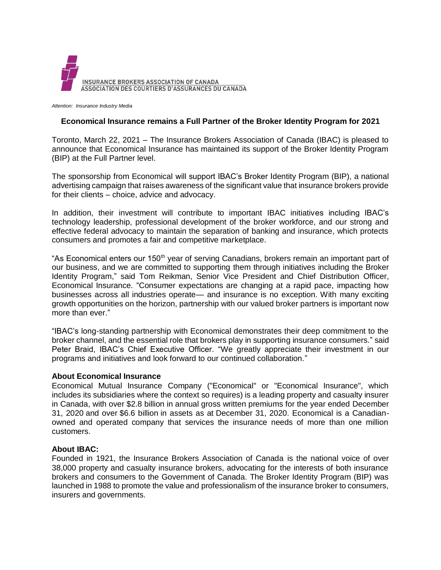

*Attention: Insurance Industry Media*

## **Economical Insurance remains a Full Partner of the Broker Identity Program for 2021**

Toronto, March 22, 2021 – The Insurance Brokers Association of Canada (IBAC) is pleased to announce that Economical Insurance has maintained its support of the Broker Identity Program (BIP) at the Full Partner level.

The sponsorship from Economical will support IBAC's Broker Identity Program (BIP), a national advertising campaign that raises awareness of the significant value that insurance brokers provide for their clients – choice, advice and advocacy.

In addition, their investment will contribute to important IBAC initiatives including IBAC's technology leadership, professional development of the broker workforce, and our strong and effective federal advocacy to maintain the separation of banking and insurance, which protects consumers and promotes a fair and competitive marketplace.

"As Economical enters our 150<sup>th</sup> year of serving Canadians, brokers remain an important part of our business, and we are committed to supporting them through initiatives including the Broker Identity Program," said Tom Reikman, Senior Vice President and Chief Distribution Officer, Economical Insurance. "Consumer expectations are changing at a rapid pace, impacting how businesses across all industries operate— and insurance is no exception. With many exciting growth opportunities on the horizon, partnership with our valued broker partners is important now more than ever."

"IBAC's long-standing partnership with Economical demonstrates their deep commitment to the broker channel, and the essential role that brokers play in supporting insurance consumers." said Peter Braid, IBAC's Chief Executive Officer. "We greatly appreciate their investment in our programs and initiatives and look forward to our continued collaboration."

## **About Economical Insurance**

Economical Mutual Insurance Company ("Economical" or "Economical Insurance", which includes its subsidiaries where the context so requires) is a leading property and casualty insurer in Canada, with over \$2.8 billion in annual gross written premiums for the year ended December 31, 2020 and over \$6.6 billion in assets as at December 31, 2020. Economical is a Canadianowned and operated company that services the insurance needs of more than one million customers.

## **About IBAC:**

Founded in 1921, the Insurance Brokers Association of Canada is the national voice of over 38,000 property and casualty insurance brokers, advocating for the interests of both insurance brokers and consumers to the Government of Canada. The Broker Identity Program (BIP) was launched in 1988 to promote the value and professionalism of the insurance broker to consumers, insurers and governments.